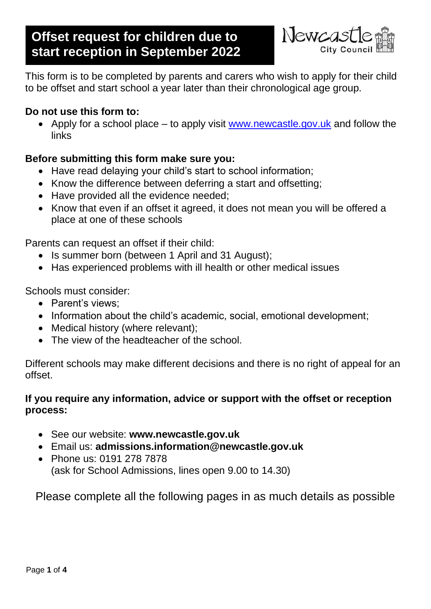# **Offset request for children due to start reception in September 2022**



This form is to be completed by parents and carers who wish to apply for their child to be offset and start school a year later than their chronological age group.

# **Do not use this form to:**

• Apply for a school place – to apply visit [www.newcastle.gov.uk](http://www.newcastle.gov.uk/) and follow the links

# **Before submitting this form make sure you:**

- Have read delaying your child's start to school information;
- Know the difference between deferring a start and offsetting;
- Have provided all the evidence needed;
- Know that even if an offset it agreed, it does not mean you will be offered a place at one of these schools

Parents can request an offset if their child:

- Is summer born (between 1 April and 31 August);
- Has experienced problems with ill health or other medical issues

Schools must consider:

- Parent's views:
- Information about the child's academic, social, emotional development;
- Medical history (where relevant);
- The view of the headteacher of the school.

Different schools may make different decisions and there is no right of appeal for an offset.

# **If you require any information, advice or support with the offset or reception process:**

- See our website: **www.newcastle.gov.uk**
- Email us: **admissions.information@newcastle.gov.uk**
- Phone us: 0191 278 7878 (ask for School Admissions, lines open 9.00 to 14.30)

Please complete all the following pages in as much details as possible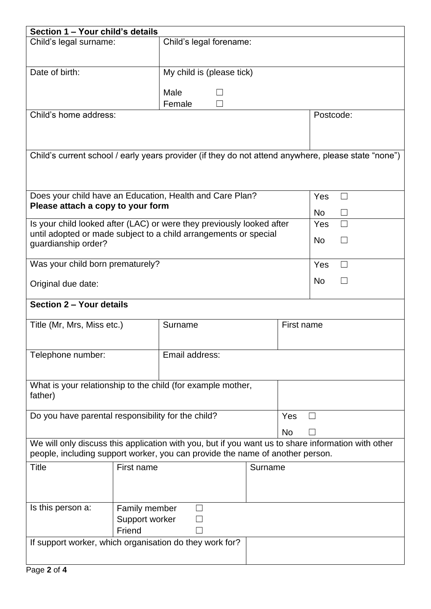| Section 1 - Your child's details                                                                    |                |                                                                                                    |         |                 |               |  |
|-----------------------------------------------------------------------------------------------------|----------------|----------------------------------------------------------------------------------------------------|---------|-----------------|---------------|--|
| Child's legal surname:                                                                              |                | Child's legal forename:                                                                            |         |                 |               |  |
|                                                                                                     |                |                                                                                                    |         |                 |               |  |
| Date of birth:                                                                                      |                |                                                                                                    |         |                 |               |  |
|                                                                                                     |                | $\overline{\text{My}}$ child is (please tick)                                                      |         |                 |               |  |
|                                                                                                     |                | Male                                                                                               |         |                 |               |  |
|                                                                                                     |                | Female                                                                                             |         |                 |               |  |
| Child's home address:                                                                               |                |                                                                                                    |         |                 | Postcode:     |  |
|                                                                                                     |                |                                                                                                    |         |                 |               |  |
|                                                                                                     |                |                                                                                                    |         |                 |               |  |
| Child's current school / early years provider (if they do not attend anywhere, please state "none") |                |                                                                                                    |         |                 |               |  |
|                                                                                                     |                |                                                                                                    |         |                 |               |  |
|                                                                                                     |                |                                                                                                    |         |                 |               |  |
|                                                                                                     |                |                                                                                                    |         |                 |               |  |
|                                                                                                     |                | Does your child have an Education, Health and Care Plan?                                           |         | <b>Yes</b><br>П |               |  |
| Please attach a copy to your form                                                                   |                |                                                                                                    |         |                 | No            |  |
|                                                                                                     |                | Is your child looked after (LAC) or were they previously looked after                              |         |                 | Yes<br>$\Box$ |  |
|                                                                                                     |                | until adopted or made subject to a child arrangements or special                                   |         |                 |               |  |
| guardianship order?                                                                                 |                |                                                                                                    |         |                 | No            |  |
|                                                                                                     |                |                                                                                                    |         |                 |               |  |
| Was your child born prematurely?                                                                    |                |                                                                                                    |         |                 | <b>Yes</b>    |  |
| Original due date:                                                                                  |                |                                                                                                    |         |                 | No.           |  |
|                                                                                                     |                |                                                                                                    |         |                 |               |  |
| Section 2 - Your details                                                                            |                |                                                                                                    |         |                 |               |  |
|                                                                                                     |                |                                                                                                    |         |                 |               |  |
| Title (Mr, Mrs, Miss etc.)                                                                          |                | Surname                                                                                            |         | First name      |               |  |
|                                                                                                     |                |                                                                                                    |         |                 |               |  |
| Telephone number:                                                                                   |                | Email address:                                                                                     |         |                 |               |  |
|                                                                                                     |                |                                                                                                    |         |                 |               |  |
|                                                                                                     |                |                                                                                                    |         |                 |               |  |
| What is your relationship to the child (for example mother,                                         |                |                                                                                                    |         |                 |               |  |
| father)                                                                                             |                |                                                                                                    |         |                 |               |  |
|                                                                                                     |                |                                                                                                    |         |                 |               |  |
| Do you have parental responsibility for the child?                                                  |                |                                                                                                    |         | Yes             |               |  |
|                                                                                                     |                |                                                                                                    | No      |                 |               |  |
|                                                                                                     |                | We will only discuss this application with you, but if you want us to share information with other |         |                 |               |  |
|                                                                                                     |                | people, including support worker, you can provide the name of another person.                      |         |                 |               |  |
| <b>Title</b>                                                                                        | First name     |                                                                                                    | Surname |                 |               |  |
|                                                                                                     |                |                                                                                                    |         |                 |               |  |
|                                                                                                     |                |                                                                                                    |         |                 |               |  |
| Is this person a:                                                                                   | Family member  |                                                                                                    |         |                 |               |  |
|                                                                                                     | Support worker |                                                                                                    |         |                 |               |  |
|                                                                                                     | Friend         |                                                                                                    |         |                 |               |  |
| If support worker, which organisation do they work for?                                             |                |                                                                                                    |         |                 |               |  |
|                                                                                                     |                |                                                                                                    |         |                 |               |  |
|                                                                                                     |                |                                                                                                    |         |                 |               |  |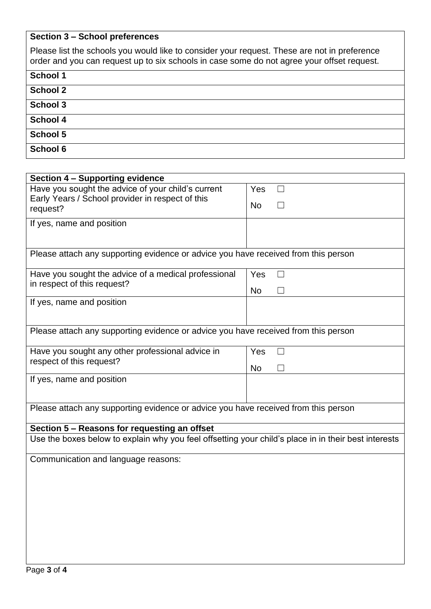### **Section 3 – School preferences**

| Please list the schools you would like to consider your request. These are not in preference<br>order and you can request up to six schools in case some do not agree your offset request. |
|--------------------------------------------------------------------------------------------------------------------------------------------------------------------------------------------|
| <b>School 1</b>                                                                                                                                                                            |
| <b>School 2</b>                                                                                                                                                                            |
| <b>School 3</b>                                                                                                                                                                            |
| <b>School 4</b>                                                                                                                                                                            |
| School 5                                                                                                                                                                                   |
| <b>School 6</b>                                                                                                                                                                            |

| Section 4 - Supporting evidence                                                                        |           |  |  |  |  |
|--------------------------------------------------------------------------------------------------------|-----------|--|--|--|--|
| Have you sought the advice of your child's current<br>Early Years / School provider in respect of this | Yes       |  |  |  |  |
| request?                                                                                               | <b>No</b> |  |  |  |  |
| If yes, name and position                                                                              |           |  |  |  |  |
|                                                                                                        |           |  |  |  |  |
| Please attach any supporting evidence or advice you have received from this person                     |           |  |  |  |  |
| Have you sought the advice of a medical professional                                                   | Yes       |  |  |  |  |
| in respect of this request?                                                                            | <b>No</b> |  |  |  |  |
| If yes, name and position                                                                              |           |  |  |  |  |
|                                                                                                        |           |  |  |  |  |
| Please attach any supporting evidence or advice you have received from this person                     |           |  |  |  |  |
| Have you sought any other professional advice in                                                       | Yes       |  |  |  |  |
| respect of this request?                                                                               | <b>No</b> |  |  |  |  |
| If yes, name and position                                                                              |           |  |  |  |  |
| Please attach any supporting evidence or advice you have received from this person                     |           |  |  |  |  |
| Section 5 – Reasons for requesting an offset                                                           |           |  |  |  |  |
| Use the boxes below to explain why you feel offsetting your child's place in in their best interests   |           |  |  |  |  |
| Communication and language reasons:                                                                    |           |  |  |  |  |
|                                                                                                        |           |  |  |  |  |
|                                                                                                        |           |  |  |  |  |
|                                                                                                        |           |  |  |  |  |
|                                                                                                        |           |  |  |  |  |
|                                                                                                        |           |  |  |  |  |
|                                                                                                        |           |  |  |  |  |
|                                                                                                        |           |  |  |  |  |